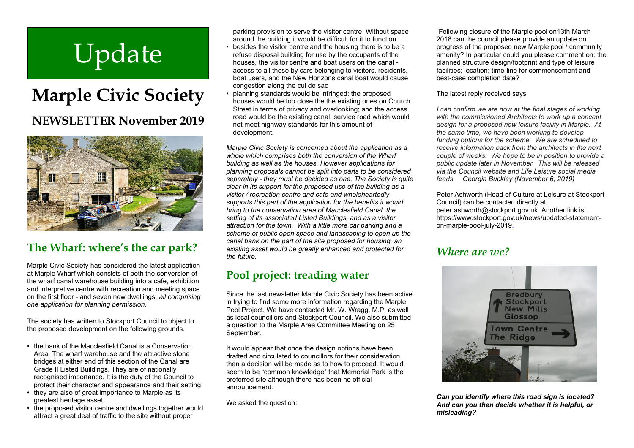# Update

## **Marple Civic Society NEWSLETTER November 2019**



#### **The Wharf: where's the car park?**

Marple Civic Society has considered the latest application at Marple Wharf which consists of both the conversion of the wharf canal warehouse building into a cafe, exhibition and interpretive centre with recreation and meeting space on the first floor - and seven new dwellings, *all comprising one application for planning permission.*

The society has written to Stockport Council to object to the proposed development on the following grounds.

- the bank of the Macclesfield Canal is a Conservation Area. The wharf warehouse and the attractive stone bridges at either end of this section of the Canal are Grade II Listed Buildings. They are of nationally recognised importance. It is the duty of the Council to protect their character and appearance and their setting.
- they are also of great importance to Marple as its greatest heritage asset
- the proposed visitor centre and dwellings together would attract a great deal of traffic to the site without proper

parking provision to serve the visitor centre. Without space around the building it would be difficult for it to function.

- besides the visitor centre and the housing there is to be a refuse disposal building for use by the occupants of the houses, the visitor centre and boat users on the canal access to all these by cars belonging to visitors, residents, boat users, and the New Horizons canal boat would cause congestion along the cul de sac
- planning standards would be infringed: the proposed houses would be too close the the existing ones on Church Street in terms of privacy and overlooking; and the access road would be the existing canal service road which would not meet highway standards for this amount of development.

*Marple Civic Society is concerned about the application as a whole which comprises both the conversion of the Wharf building as well as the houses. However applications for planning proposals cannot be split into parts to be considered separately - they must be decided as one. The Society is quite clear in its support for the proposed use of the building as a visitor / recreation centre and cafe and wholeheartedly supports this part of the application for the benefits it would bring to the conservation area of Macclesfield Canal, the setting of its associated Listed Buildings, and as a visitor attraction for the town. With a little more car parking and a scheme of public open space and landscaping to open up the canal bank on the part of the site proposed for housing, an existing asset would be greatly enhanced and protected for the future.*

#### **Pool project: treading water**

Since the last newsletter Marple Civic Society has been active in trying to find some more information regarding the Marple Pool Project. We have contacted Mr. W. Wragg, M.P. as well as local councillors and Stockport Council. We also submitted a question to the Marple Area Committee Meeting on 25 September.

It would appear that once the design options have been drafted and circulated to councillors for their consideration then a decision will be made as to how to proceed. It would seem to be "common knowledge" that Memorial Park is the preferred site although there has been no official announcement.

We asked the question:

"Following closure of the Marple pool on13th March 2018 can the council please provide an update on progress of the proposed new Marple pool / community amenity? In particular could you please comment on: the planned structure design/footprint and type of leisure facilities; location; time-line for commencement and best-case completion date?

The latest reply received says:

*I can confirm we are now at the final stages of working with the commissioned Architects to work up a concept design for a proposed new leisure facility in Marple. At the same time, we have been working to develop funding options for the scheme. We are scheduled to receive information back from the architects in the next couple of weeks. We hope to be in position to provide a public update later in November. This will be released via the Council website and Life Leisure social media feeds. Georgia Buckley (November 6, 2019)*

Peter Ashworth (Head of Culture at Leisure at Stockport Council) can be contacted directly at peter.ashworth@stockport.gov.uk Another link is: https://www.stockport.gov.uk/news/updated-statementon-marple-pool-july-2019.

#### *Where are we?*



*Can you identify where this road sign is located? And can you then decide whether it is helpful, or misleading?*